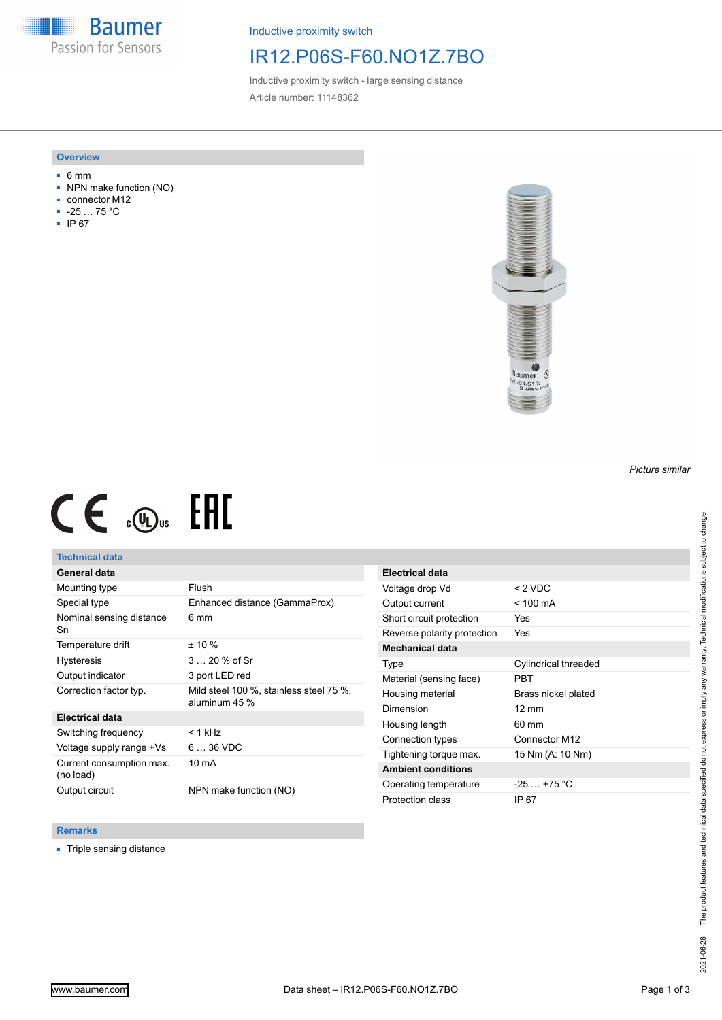**Baumer** Passion for Sensors

Inductive proximity switch

## IR12.P06S-F60.NO1Z.7BO

Inductive proximity switch - large sensing distance Article number: 11148362

#### **Overview**

- 6 mm
- NPN make function (NO)
- connector M12
- -25 … 75 °C
- IP 67



# $CE \mathcal{L}$  ( $\mathcal{L}$  and  $SE$

## **Technical data**

## **General data**

| Mounting type                         | Flush                                                    |
|---------------------------------------|----------------------------------------------------------|
| Special type                          | Enhanced distance (GammaProx)                            |
| Nominal sensing distance<br>Sn        | 6 mm                                                     |
| Temperature drift                     | $± 10 \%$                                                |
| <b>Hysteresis</b>                     | $320%$ of Sr                                             |
| Output indicator                      | 3 port LED red                                           |
| Correction factor typ.                | Mild steel 100 %, stainless steel 75 %,<br>aluminum 45 % |
| <b>Electrical data</b>                |                                                          |
| Switching frequency                   | $< 1$ kHz                                                |
| Voltage supply range +Vs              | $636$ VDC                                                |
| Current consumption max.<br>(no load) | 10 mA                                                    |
| Output circuit                        | NPN make function (NO)                                   |

| <b>Electrical data</b>      |                      |
|-----------------------------|----------------------|
| Voltage drop Vd             | $< 2$ VDC            |
| Output current              | $<$ 100 mA           |
| Short circuit protection    | Yes                  |
| Reverse polarity protection | Yes                  |
| Mechanical data             |                      |
| Type                        | Cylindrical threaded |
| Material (sensing face)     | PRT                  |
| Housing material            | Brass nickel plated  |
| Dimension                   | $12 \text{ mm}$      |
| Housing length              | 60 mm                |
| Connection types            | Connector M12        |
| Tightening torque max.      | 15 Nm (A: 10 Nm)     |
| <b>Ambient conditions</b>   |                      |
| Operating temperature       | $-25$ $+75$ °C       |
| Protection class            | IP 67                |

#### **Remarks**

■ Triple sensing distance

*Picture similar*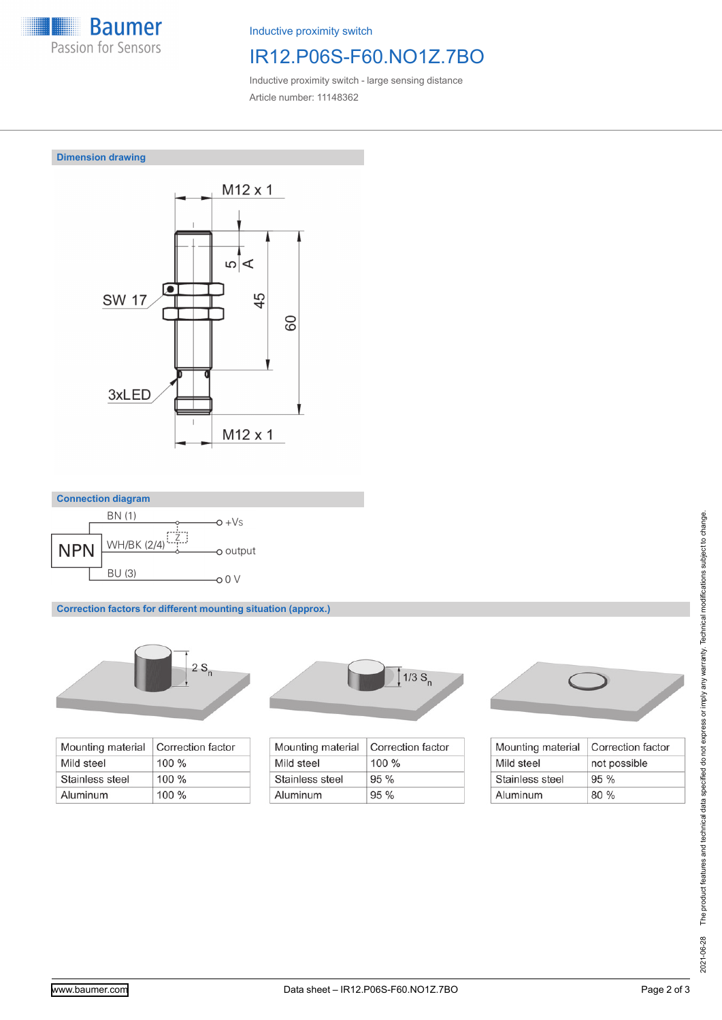

Inductive proximity switch

# IR12.P06S-F60.NO1Z.7BO

Inductive proximity switch - large sensing distance Article number: 11148362

### **Dimension drawing**





**Correction factors for different mounting situation (approx.)**



| Mounting material | Correction factor |
|-------------------|-------------------|
| Mild steel        | $100 \%$          |
| Stainless steel   | $100\%$           |
| Aluminum          | $100\%$           |



| Mounting material | Correction factor |
|-------------------|-------------------|
| Mild steel        | $100\%$           |
| Stainless steel   | 95%               |
| Aluminum          | 95%               |



| Mounting material | Correction factor |
|-------------------|-------------------|
| Mild steel        | not possible      |
| Stainless steel   | $95\%$            |
| Aluminum          | 80%               |